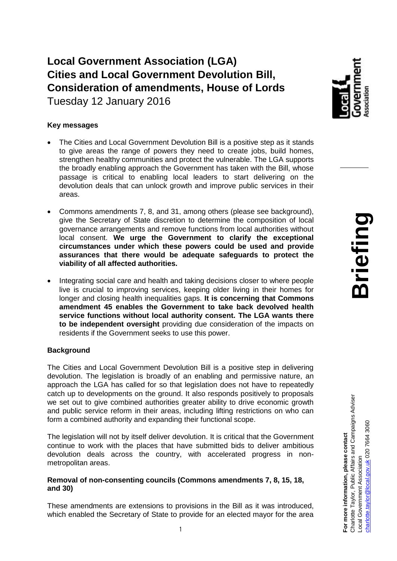**Local Government Association (LGA) Cities and Local Government Devolution Bill, Consideration of amendments, House of Lords** Tuesday 12 January 2016

# **Key messages**

- The Cities and Local Government Devolution Bill is a positive step as it stands to give areas the range of powers they need to create jobs, build homes, strengthen healthy communities and protect the vulnerable. The LGA supports the broadly enabling approach the Government has taken with the Bill, whose passage is critical to enabling local leaders to start delivering on the devolution deals that can unlock growth and improve public services in their areas.
- Commons amendments 7, 8, and 31, among others (please see background), give the Secretary of State discretion to determine the composition of local governance arrangements and remove functions from local authorities without local consent. **We urge the Government to clarify the exceptional circumstances under which these powers could be used and provide assurances that there would be adequate safeguards to protect the viability of all affected authorities.**
- Integrating social care and health and taking decisions closer to where people live is crucial to improving services, keeping older living in their homes for longer and closing health inequalities gaps. **It is concerning that Commons amendment 45 enables the Government to take back devolved health service functions without local authority consent. The LGA wants there to be independent oversight** providing due consideration of the impacts on residents if the Government seeks to use this power.

## **Background**

The Cities and Local Government Devolution Bill is a positive step in delivering devolution. The legislation is broadly of an enabling and permissive nature, an approach the LGA has called for so that legislation does not have to repeatedly catch up to developments on the ground. It also responds positively to proposals we set out to give combined authorities greater ability to drive economic growth and public service reform in their areas, including lifting restrictions on who can form a combined authority and expanding their functional scope.

The legislation will not by itself deliver devolution. It is critical that the Government continue to work with the places that have submitted bids to deliver ambitious devolution deals across the country, with accelerated progress in nonmetropolitan areas.

#### **Removal of non-consenting councils (Commons amendments 7, 8, 15, 18, and 30)**

These amendments are extensions to provisions in the Bill as it was introduced, which enabled the Secretary of State to provide for an elected mayor for the area **For more information, please contact**

For more information, please contact

Charlotte Taylor, Public Affairs and Campaigns Adviser

Charlotte Taylor, Public Affairs and Campaigns Adviser

Local Government Association

ocal Government Association